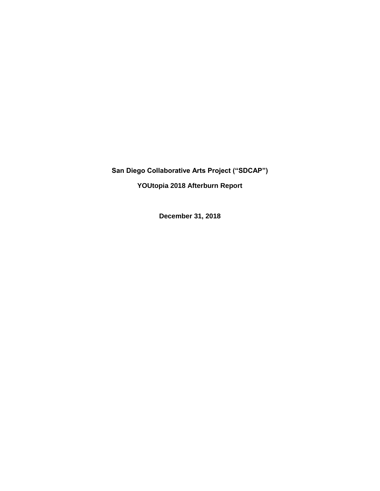**San Diego Collaborative Arts Project ("SDCAP")**

**YOUtopia 2018 Afterburn Report**

**December 31, 2018**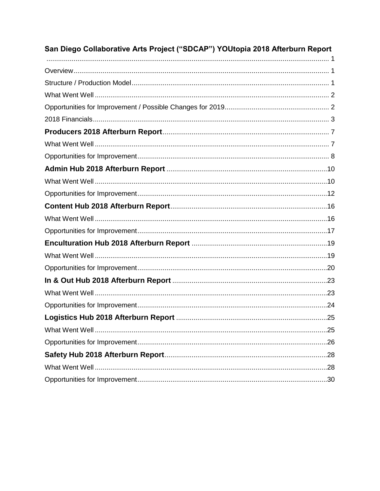| San Diego Collaborative Arts Project ("SDCAP") YOUtopia 2018 Afterburn Report |  |
|-------------------------------------------------------------------------------|--|
|                                                                               |  |
|                                                                               |  |
|                                                                               |  |
|                                                                               |  |
|                                                                               |  |
|                                                                               |  |
|                                                                               |  |
|                                                                               |  |
|                                                                               |  |
|                                                                               |  |
|                                                                               |  |
|                                                                               |  |
|                                                                               |  |
|                                                                               |  |
|                                                                               |  |
|                                                                               |  |
|                                                                               |  |
|                                                                               |  |
|                                                                               |  |
|                                                                               |  |
|                                                                               |  |
|                                                                               |  |
|                                                                               |  |
|                                                                               |  |
|                                                                               |  |
|                                                                               |  |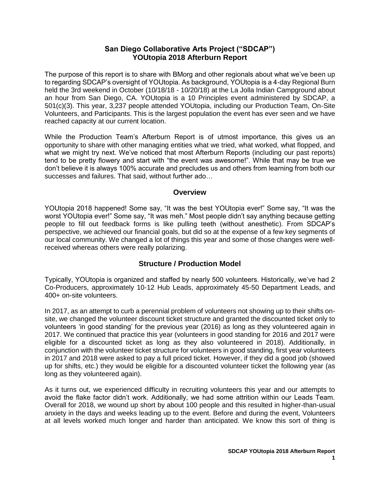## **San Diego Collaborative Arts Project ("SDCAP") YOUtopia 2018 Afterburn Report**

<span id="page-2-0"></span>The purpose of this report is to share with BMorg and other regionals about what we've been up to regarding SDCAP's oversight of YOUtopia. As background, YOUtopia is a 4-day Regional Burn held the 3rd weekend in October (10/18/18 - 10/20/18) at the La Jolla Indian Campground about an hour from San Diego, CA. YOUtopia is a 10 Principles event administered by SDCAP, a 501(c)(3). This year, 3,237 people attended YOUtopia, including our Production Team, On-Site Volunteers, and Participants. This is the largest population the event has ever seen and we have reached capacity at our current location.

While the Production Team's Afterburn Report is of utmost importance, this gives us an opportunity to share with other managing entities what we tried, what worked, what flopped, and what we might try next. We've noticed that most Afterburn Reports (including our past reports) tend to be pretty flowery and start with "the event was awesome!". While that may be true we don't believe it is always 100% accurate and precludes us and others from learning from both our successes and failures. That said, without further ado…

#### **Overview**

<span id="page-2-1"></span>YOUtopia 2018 happened! Some say, "It was the best YOUtopia ever!" Some say, "It was the worst YOUtopia ever!" Some say, "It was meh." Most people didn't say anything because getting people to fill out feedback forms is like pulling teeth (without anesthetic). From SDCAP's perspective, we achieved our financial goals, but did so at the expense of a few key segments of our local community. We changed a lot of things this year and some of those changes were wellreceived whereas others were really polarizing.

## **Structure / Production Model**

<span id="page-2-2"></span>Typically, YOUtopia is organized and staffed by nearly 500 volunteers. Historically, we've had 2 Co-Producers, approximately 10-12 Hub Leads, approximately 45-50 Department Leads, and 400+ on-site volunteers.

In 2017, as an attempt to curb a perennial problem of volunteers not showing up to their shifts onsite, we changed the volunteer discount ticket structure and granted the discounted ticket only to volunteers 'in good standing' for the previous year (2016) as long as they volunteered again in 2017. We continued that practice this year (volunteers in good standing for 2016 and 2017 were eligible for a discounted ticket as long as they also volunteered in 2018). Additionally, in conjunction with the volunteer ticket structure for volunteers in good standing, first year volunteers in 2017 and 2018 were asked to pay a full priced ticket. However, if they did a good job (showed up for shifts, etc.) they would be eligible for a discounted volunteer ticket the following year (as long as they volunteered again).

As it turns out, we experienced difficulty in recruiting volunteers this year and our attempts to avoid the flake factor didn't work. Additionally, we had some attrition within our Leads Team. Overall for 2018, we wound up short by about 100 people and this resulted in higher-than-usual anxiety in the days and weeks leading up to the event. Before and during the event, Volunteers at all levels worked much longer and harder than anticipated. We know this sort of thing is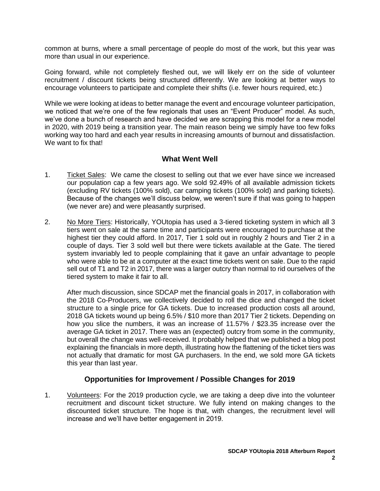common at burns, where a small percentage of people do most of the work, but this year was more than usual in our experience.

Going forward, while not completely fleshed out, we will likely err on the side of volunteer recruitment / discount tickets being structured differently. We are looking at better ways to encourage volunteers to participate and complete their shifts (i.e. fewer hours required, etc.)

While we were looking at ideas to better manage the event and encourage volunteer participation, we noticed that we're one of the few regionals that uses an "Event Producer" model. As such, we've done a bunch of research and have decided we are scrapping this model for a new model in 2020, with 2019 being a transition year. The main reason being we simply have too few folks working way too hard and each year results in increasing amounts of burnout and dissatisfaction. We want to fix that!

## **What Went Well**

- <span id="page-3-0"></span>1. Ticket Sales: We came the closest to selling out that we ever have since we increased our population cap a few years ago. We sold 92.49% of all available admission tickets (excluding RV tickets (100% sold), car camping tickets (100% sold) and parking tickets). Because of the changes we'll discuss below, we weren't sure if that was going to happen (we never are) and were pleasantly surprised.
- 2. No More Tiers: Historically, YOUtopia has used a 3-tiered ticketing system in which all 3 tiers went on sale at the same time and participants were encouraged to purchase at the highest tier they could afford. In 2017, Tier 1 sold out in roughly 2 hours and Tier 2 in a couple of days. Tier 3 sold well but there were tickets available at the Gate. The tiered system invariably led to people complaining that it gave an unfair advantage to people who were able to be at a computer at the exact time tickets went on sale. Due to the rapid sell out of T1 and T2 in 2017, there was a larger outcry than normal to rid ourselves of the tiered system to make it fair to all.

After much discussion, since SDCAP met the financial goals in 2017, in collaboration with the 2018 Co-Producers, we collectively decided to roll the dice and changed the ticket structure to a single price for GA tickets. Due to increased production costs all around, 2018 GA tickets wound up being 6.5% / \$10 more than 2017 Tier 2 tickets. Depending on how you slice the numbers, it was an increase of 11.57% / \$23.35 increase over the average GA ticket in 2017. There was an (expected) outcry from some in the community, but overall the change was well-received. It probably helped that we published a blog post explaining the financials in more depth, illustrating how the flattening of the ticket tiers was not actually that dramatic for most GA purchasers. In the end, we sold more GA tickets this year than last year.

## **Opportunities for Improvement / Possible Changes for 2019**

<span id="page-3-1"></span>1. Volunteers: For the 2019 production cycle, we are taking a deep dive into the volunteer recruitment and discount ticket structure. We fully intend on making changes to the discounted ticket structure. The hope is that, with changes, the recruitment level will increase and we'll have better engagement in 2019.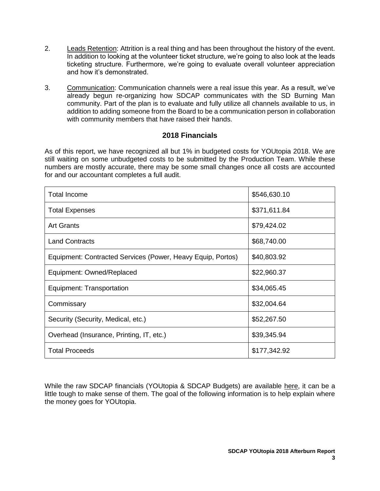- 2. Leads Retention: Attrition is a real thing and has been throughout the history of the event. In addition to looking at the volunteer ticket structure, we're going to also look at the leads ticketing structure. Furthermore, we're going to evaluate overall volunteer appreciation and how it's demonstrated.
- 3. Communication: Communication channels were a real issue this year. As a result, we've already begun re-organizing how SDCAP communicates with the SD Burning Man community. Part of the plan is to evaluate and fully utilize all channels available to us, in addition to adding someone from the Board to be a communication person in collaboration with community members that have raised their hands.

## **2018 Financials**

<span id="page-4-0"></span>As of this report, we have recognized all but 1% in budgeted costs for YOUtopia 2018. We are still waiting on some unbudgeted costs to be submitted by the Production Team. While these numbers are mostly accurate, there may be some small changes once all costs are accounted for and our accountant completes a full audit.

| <b>Total Income</b>                                         | \$546,630.10 |
|-------------------------------------------------------------|--------------|
| <b>Total Expenses</b>                                       | \$371,611.84 |
| <b>Art Grants</b>                                           | \$79,424.02  |
| <b>Land Contracts</b>                                       | \$68,740.00  |
| Equipment: Contracted Services (Power, Heavy Equip, Portos) | \$40,803.92  |
| Equipment: Owned/Replaced                                   | \$22,960.37  |
| Equipment: Transportation                                   | \$34,065.45  |
| Commissary                                                  | \$32,004.64  |
| Security (Security, Medical, etc.)                          | \$52,267.50  |
| Overhead (Insurance, Printing, IT, etc.)                    | \$39,345.94  |
| <b>Total Proceeds</b>                                       | \$177,342.92 |

While the raw SDCAP financials (YOUtopia & SDCAP Budgets) are available [here,](http://www.sdcap.org/home/financial-information/) it can be a little tough to make sense of them. The goal of the following information is to help explain where the money goes for YOUtopia.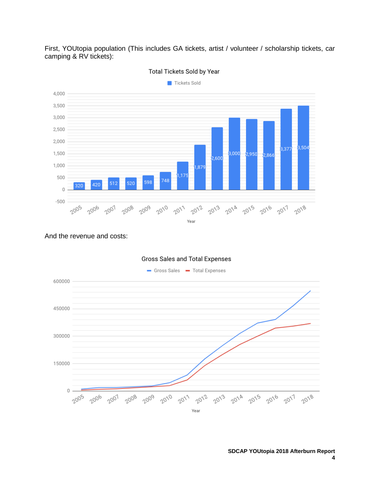First, YOUtopia population (This includes GA tickets, artist / volunteer / scholarship tickets, car camping & RV tickets):



Total Tickets Sold by Year

#### And the revenue and costs:

![](_page_5_Figure_4.jpeg)

#### **SDCAP YOUtopia 2018 Afterburn Report 4**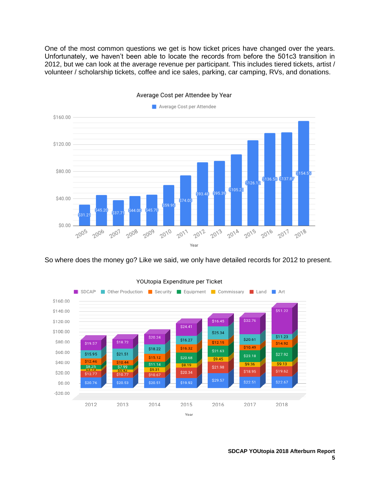One of the most common questions we get is how ticket prices have changed over the years. Unfortunately, we haven't been able to locate the records from before the 501c3 transition in 2012, but we can look at the average revenue per participant. This includes tiered tickets, artist / volunteer / scholarship tickets, coffee and ice sales, parking, car camping, RVs, and donations.

![](_page_6_Figure_1.jpeg)

Average Cost per Attendee by Year

So where does the money go? Like we said, we only have detailed records for 2012 to present.

![](_page_6_Figure_4.jpeg)

YOUtopia Expenditure per Ticket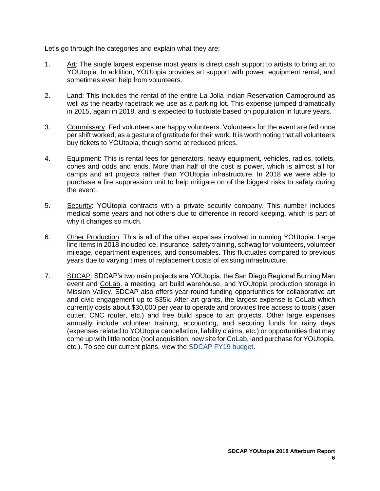Let's go through the categories and explain what they are:

- 1. Art: The single largest expense most years is direct cash support to artists to bring art to YOUtopia. In addition, YOUtopia provides art support with power, equipment rental, and sometimes even help from volunteers.
- 2. Land: This includes the rental of the entire La Jolla Indian Reservation Campground as well as the nearby racetrack we use as a parking lot. This expense jumped dramatically in 2015, again in 2018, and is expected to fluctuate based on population in future years.
- 3. Commissary: Fed volunteers are happy volunteers. Volunteers for the event are fed once per shift worked, as a gesture of gratitude for their work. It is worth noting that all volunteers buy tickets to YOUtopia, though some at reduced prices.
- 4. Equipment: This is rental fees for generators, heavy equipment, vehicles, radios, toilets, cones and odds and ends. More than half of the cost is power, which is almost all for camps and art projects rather than YOUtopia infrastructure. In 2018 we were able to purchase a fire suppression unit to help mitigate on of the biggest risks to safety during the event.
- 5. Security: YOUtopia contracts with a private security company. This number includes medical some years and not others due to difference in record keeping, which is part of why it changes so much.
- 6. Other Production: This is all of the other expenses involved in running YOUtopia. Large line items in 2018 included ice, insurance, safety training, schwag for volunteers, volunteer mileage, department expenses, and consumables. This fluctuates compared to previous years due to varying times of replacement costs of existing infrastructure.
- 7. SDCAP: SDCAP's two main projects are YOUtopia, the San Diego Regional Burning Man event and [CoLab,](http://www.sdcolab.org/) a meeting, art build warehouse, and YOUtopia production storage in Mission Valley. SDCAP also offers year-round funding opportunities for collaborative art and civic engagement up to \$35k. After art grants, the largest expense is CoLab which currently costs about \$30,000 per year to operate and provides free access to tools (laser cutter, CNC router, etc.) and free build space to art projects. Other large expenses annually include volunteer training, accounting, and securing funds for rainy days (expenses related to YOUtopia cancellation, liability claims, etc.) or opportunities that may come up with little notice (tool acquisition, new site for CoLab, land purchase for YOUtopia, etc.). To see our current plans, view the [SDCAP FY19 budget.](https://drive.google.com/file/d/1CaLVFr4-NaZMnF0QLdvjZVhvP3qC0wyu/view)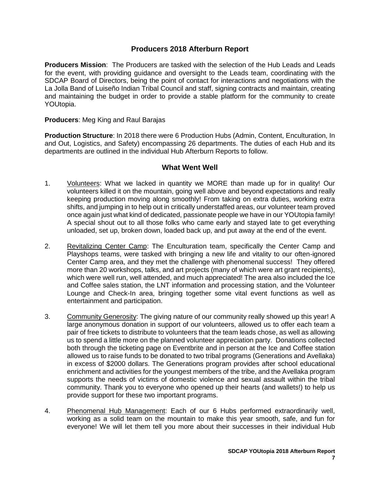## **Producers 2018 Afterburn Report**

<span id="page-8-0"></span>**Producers Mission**: The Producers are tasked with the selection of the Hub Leads and Leads for the event, with providing guidance and oversight to the Leads team, coordinating with the SDCAP Board of Directors, being the point of contact for interactions and negotiations with the La Jolla Band of Luiseño Indian Tribal Council and staff, signing contracts and maintain, creating and maintaining the budget in order to provide a stable platform for the community to create YOUtopia.

#### **Producers**: Meg King and Raul Barajas

**Production Structure**: In 2018 there were 6 Production Hubs (Admin, Content, Enculturation, In and Out, Logistics, and Safety) encompassing 26 departments. The duties of each Hub and its departments are outlined in the individual Hub Afterburn Reports to follow.

#### **What Went Well**

- <span id="page-8-1"></span>1. Volunteers: What we lacked in quantity we MORE than made up for in quality! Our volunteers killed it on the mountain, going well above and beyond expectations and really keeping production moving along smoothly! From taking on extra duties, working extra shifts, and jumping in to help out in critically understaffed areas, our volunteer team proved once again just what kind of dedicated, passionate people we have in our YOUtopia family! A special shout out to all those folks who came early and stayed late to get everything unloaded, set up, broken down, loaded back up, and put away at the end of the event.
- 2. Revitalizing Center Camp: The Enculturation team, specifically the Center Camp and Playshops teams, were tasked with bringing a new life and vitality to our often-ignored Center Camp area, and they met the challenge with phenomenal success! They offered more than 20 workshops, talks, and art projects (many of which were art grant recipients), which were well run, well attended, and much appreciated! The area also included the Ice and Coffee sales station, the LNT information and processing station, and the Volunteer Lounge and Check-In area, bringing together some vital event functions as well as entertainment and participation.
- 3. Community Generosity: The giving nature of our community really showed up this year! A large anonymous donation in support of our volunteers, allowed us to offer each team a pair of free tickets to distribute to volunteers that the team leads chose, as well as allowing us to spend a little more on the planned volunteer appreciation party. Donations collected both through the ticketing page on Eventbrite and in person at the Ice and Coffee station allowed us to raise funds to be donated to two tribal programs (Generations and Avellaka) in excess of \$2000 dollars. The Generations program provides after school educational enrichment and activities for the youngest members of the tribe, and the Avellaka program supports the needs of victims of domestic violence and sexual assault within the tribal community. Thank you to everyone who opened up their hearts (and wallets!) to help us provide support for these two important programs.
- 4. Phenomenal Hub Management: Each of our 6 Hubs performed extraordinarily well, working as a solid team on the mountain to make this year smooth, safe, and fun for everyone! We will let them tell you more about their successes in their individual Hub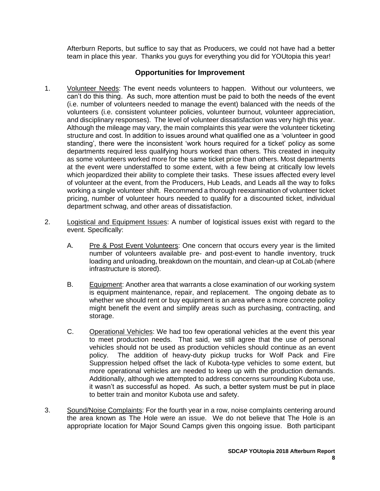Afterburn Reports, but suffice to say that as Producers, we could not have had a better team in place this year. Thanks you guys for everything you did for YOUtopia this year!

- <span id="page-9-0"></span>1. Volunteer Needs: The event needs volunteers to happen. Without our volunteers, we can't do this thing. As such, more attention must be paid to both the needs of the event (i.e. number of volunteers needed to manage the event) balanced with the needs of the volunteers (i.e. consistent volunteer policies, volunteer burnout, volunteer appreciation, and disciplinary responses). The level of volunteer dissatisfaction was very high this year. Although the mileage may vary, the main complaints this year were the volunteer ticketing structure and cost. In addition to issues around what qualified one as a 'volunteer in good standing', there were the inconsistent 'work hours required for a ticket' policy as some departments required less qualifying hours worked than others. This created in inequity as some volunteers worked more for the same ticket price than others. Most departments at the event were understaffed to some extent, with a few being at critically low levels which jeopardized their ability to complete their tasks. These issues affected every level of volunteer at the event, from the Producers, Hub Leads, and Leads all the way to folks working a single volunteer shift. Recommend a thorough reexamination of volunteer ticket pricing, number of volunteer hours needed to qualify for a discounted ticket, individual department schwag, and other areas of dissatisfaction.
- 2. Logistical and Equipment Issues: A number of logistical issues exist with regard to the event. Specifically:
	- A. Pre & Post Event Volunteers: One concern that occurs every year is the limited number of volunteers available pre- and post-event to handle inventory, truck loading and unloading, breakdown on the mountain, and clean-up at CoLab (where infrastructure is stored).
	- B. Equipment: Another area that warrants a close examination of our working system is equipment maintenance, repair, and replacement. The ongoing debate as to whether we should rent or buy equipment is an area where a more concrete policy might benefit the event and simplify areas such as purchasing, contracting, and storage.
	- C. Operational Vehicles: We had too few operational vehicles at the event this year to meet production needs. That said, we still agree that the use of personal vehicles should not be used as production vehicles should continue as an event policy. The addition of heavy-duty pickup trucks for Wolf Pack and Fire Suppression helped offset the lack of Kubota-type vehicles to some extent, but more operational vehicles are needed to keep up with the production demands. Additionally, although we attempted to address concerns surrounding Kubota use, it wasn't as successful as hoped. As such, a better system must be put in place to better train and monitor Kubota use and safety.
- 3. Sound/Noise Complaints: For the fourth year in a row, noise complaints centering around the area known as The Hole were an issue. We do not believe that The Hole is an appropriate location for Major Sound Camps given this ongoing issue. Both participant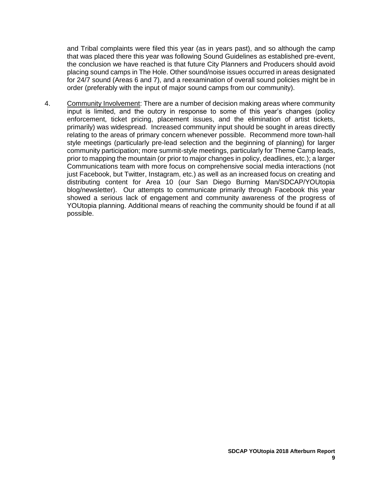and Tribal complaints were filed this year (as in years past), and so although the camp that was placed there this year was following Sound Guidelines as established pre-event, the conclusion we have reached is that future City Planners and Producers should avoid placing sound camps in The Hole. Other sound/noise issues occurred in areas designated for 24/7 sound (Areas 6 and 7), and a reexamination of overall sound policies might be in order (preferably with the input of major sound camps from our community).

4. Community Involvement: There are a number of decision making areas where community input is limited, and the outcry in response to some of this year's changes (policy enforcement, ticket pricing, placement issues, and the elimination of artist tickets, primarily) was widespread. Increased community input should be sought in areas directly relating to the areas of primary concern whenever possible. Recommend more town-hall style meetings (particularly pre-lead selection and the beginning of planning) for larger community participation; more summit-style meetings, particularly for Theme Camp leads, prior to mapping the mountain (or prior to major changes in policy, deadlines, etc.); a larger Communications team with more focus on comprehensive social media interactions (not just Facebook, but Twitter, Instagram, etc.) as well as an increased focus on creating and distributing content for Area 10 (our San Diego Burning Man/SDCAP/YOUtopia blog/newsletter). Our attempts to communicate primarily through Facebook this year showed a serious lack of engagement and community awareness of the progress of YOUtopia planning. Additional means of reaching the community should be found if at all possible.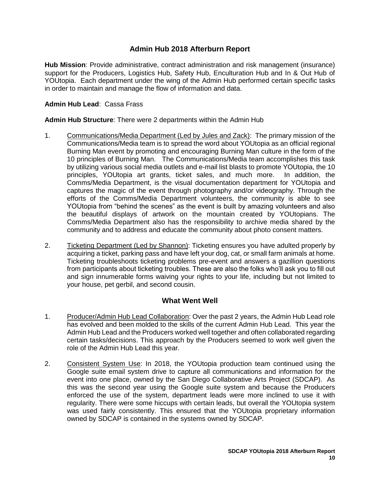# **Admin Hub 2018 Afterburn Report**

<span id="page-11-0"></span>**Hub Mission**: Provide administrative, contract administration and risk management (insurance) support for the Producers, Logistics Hub, Safety Hub, Enculturation Hub and In & Out Hub of YOUtopia. Each department under the wing of the Admin Hub performed certain specific tasks in order to maintain and manage the flow of information and data.

#### **Admin Hub Lead**: Cassa Frass

#### **Admin Hub Structure**: There were 2 departments within the Admin Hub

- 1. Communications/Media Department (Led by Jules and Zack): The primary mission of the Communications/Media team is to spread the word about YOUtopia as an official regional Burning Man event by promoting and encouraging Burning Man culture in the form of the 10 principles of Burning Man. The Communications/Media team accomplishes this task by utilizing various social media outlets and e-mail list blasts to promote YOUtopia, the 10 principles, YOUtopia art grants, ticket sales, and much more. In addition, the Comms/Media Department, is the visual documentation department for YOUtopia and captures the magic of the event through photography and/or videography. Through the efforts of the Comms/Media Department volunteers, the community is able to see YOUtopia from "behind the scenes" as the event is built by amazing volunteers and also the beautiful displays of artwork on the mountain created by YOUtopians. The Comms/Media Department also has the responsibility to archive media shared by the community and to address and educate the community about photo consent matters.
- 2. Ticketing Department (Led by Shannon): Ticketing ensures you have adulted properly by acquiring a ticket, parking pass and have left your dog, cat, or small farm animals at home. Ticketing troubleshoots ticketing problems pre-event and answers a gazillion questions from participants about ticketing troubles. These are also the folks who'll ask you to fill out and sign innumerable forms waiving your rights to your life, including but not limited to your house, pet gerbil, and second cousin.

## **What Went Well**

- <span id="page-11-1"></span>1. Producer/Admin Hub Lead Collaboration: Over the past 2 years, the Admin Hub Lead role has evolved and been molded to the skills of the current Admin Hub Lead. This year the Admin Hub Lead and the Producers worked well together and often collaborated regarding certain tasks/decisions. This approach by the Producers seemed to work well given the role of the Admin Hub Lead this year.
- 2. Consistent System Use: In 2018, the YOUtopia production team continued using the Google suite email system drive to capture all communications and information for the event into one place, owned by the San Diego Collaborative Arts Project (SDCAP). As this was the second year using the Google suite system and because the Producers enforced the use of the system, department leads were more inclined to use it with regularity. There were some hiccups with certain leads, but overall the YOUtopia system was used fairly consistently. This ensured that the YOUtopia proprietary information owned by SDCAP is contained in the systems owned by SDCAP.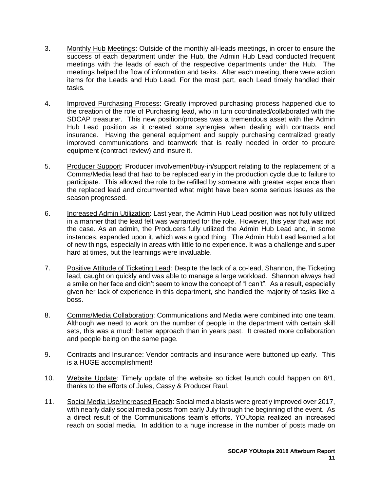- 3. Monthly Hub Meetings: Outside of the monthly all-leads meetings, in order to ensure the success of each department under the Hub, the Admin Hub Lead conducted frequent meetings with the leads of each of the respective departments under the Hub. The meetings helped the flow of information and tasks. After each meeting, there were action items for the Leads and Hub Lead. For the most part, each Lead timely handled their tasks.
- 4. Improved Purchasing Process: Greatly improved purchasing process happened due to the creation of the role of Purchasing lead, who in turn coordinated/collaborated with the SDCAP treasurer. This new position/process was a tremendous asset with the Admin Hub Lead position as it created some synergies when dealing with contracts and insurance. Having the general equipment and supply purchasing centralized greatly improved communications and teamwork that is really needed in order to procure equipment (contract review) and insure it.
- 5. Producer Support: Producer involvement/buy-in/support relating to the replacement of a Comms/Media lead that had to be replaced early in the production cycle due to failure to participate. This allowed the role to be refilled by someone with greater experience than the replaced lead and circumvented what might have been some serious issues as the season progressed.
- 6. Increased Admin Utilization: Last year, the Admin Hub Lead position was not fully utilized in a manner that the lead felt was warranted for the role. However, this year that was not the case. As an admin, the Producers fully utilized the Admin Hub Lead and, in some instances, expanded upon it, which was a good thing. The Admin Hub Lead learned a lot of new things, especially in areas with little to no experience. It was a challenge and super hard at times, but the learnings were invaluable.
- 7. Positive Attitude of Ticketing Lead: Despite the lack of a co-lead, Shannon, the Ticketing lead, caught on quickly and was able to manage a large workload. Shannon always had a smile on her face and didn't seem to know the concept of "I can't". As a result, especially given her lack of experience in this department, she handled the majority of tasks like a boss.
- 8. Comms/Media Collaboration: Communications and Media were combined into one team. Although we need to work on the number of people in the department with certain skill sets, this was a much better approach than in years past. It created more collaboration and people being on the same page.
- 9. Contracts and Insurance: Vendor contracts and insurance were buttoned up early. This is a HUGE accomplishment!
- 10. Website Update: Timely update of the website so ticket launch could happen on 6/1, thanks to the efforts of Jules, Cassy & Producer Raul.
- 11. Social Media Use/Increased Reach: Social media blasts were greatly improved over 2017, with nearly daily social media posts from early July through the beginning of the event. As a direct result of the Communications team's efforts, YOUtopia realized an increased reach on social media. In addition to a huge increase in the number of posts made on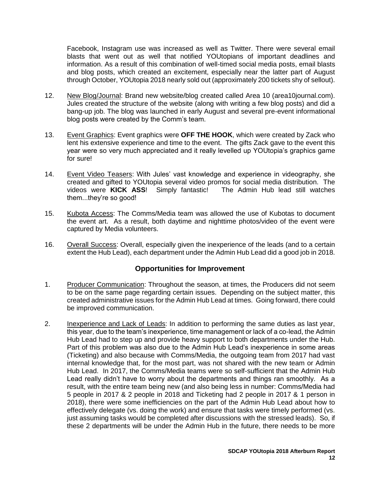Facebook, Instagram use was increased as well as Twitter. There were several email blasts that went out as well that notified YOUtopians of important deadlines and information. As a result of this combination of well-timed social media posts, email blasts and blog posts, which created an excitement, especially near the latter part of August through October, YOUtopia 2018 nearly sold out (approximately 200 tickets shy of sellout).

- 12. New Blog/Journal: Brand new website/blog created called Area 10 (area10journal.com). Jules created the structure of the website (along with writing a few blog posts) and did a bang-up job. The blog was launched in early August and several pre-event informational blog posts were created by the Comm's team.
- 13. Event Graphics: Event graphics were **OFF THE HOOK**, which were created by Zack who lent his extensive experience and time to the event. The gifts Zack gave to the event this year were so very much appreciated and it really levelled up YOUtopia's graphics game for sure!
- 14. Event Video Teasers: With Jules' vast knowledge and experience in videography, she created and gifted to YOUtopia several video promos for social media distribution. The videos were **KICK ASS**! Simply fantastic! The Admin Hub lead still watches them...they're so good!
- 15. Kubota Access: The Comms/Media team was allowed the use of Kubotas to document the event art. As a result, both daytime and nighttime photos/video of the event were captured by Media volunteers.
- 16. Overall Success: Overall, especially given the inexperience of the leads (and to a certain extent the Hub Lead), each department under the Admin Hub Lead did a good job in 2018.

- <span id="page-13-0"></span>1. Producer Communication: Throughout the season, at times, the Producers did not seem to be on the same page regarding certain issues. Depending on the subject matter, this created administrative issues for the Admin Hub Lead at times. Going forward, there could be improved communication.
- 2. Inexperience and Lack of Leads: In addition to performing the same duties as last year, this year, due to the team's inexperience, time management or lack of a co-lead, the Admin Hub Lead had to step up and provide heavy support to both departments under the Hub. Part of this problem was also due to the Admin Hub Lead's inexperience in some areas (Ticketing) and also because with Comms/Media, the outgoing team from 2017 had vast internal knowledge that, for the most part, was not shared with the new team or Admin Hub Lead. In 2017, the Comms/Media teams were so self-sufficient that the Admin Hub Lead really didn't have to worry about the departments and things ran smoothly. As a result, with the entire team being new (and also being less in number: Comms/Media had 5 people in 2017 & 2 people in 2018 and Ticketing had 2 people in 2017 & 1 person in 2018), there were some inefficiencies on the part of the Admin Hub Lead about how to effectively delegate (vs. doing the work) and ensure that tasks were timely performed (vs. just assuming tasks would be completed after discussions with the stressed leads). So, if these 2 departments will be under the Admin Hub in the future, there needs to be more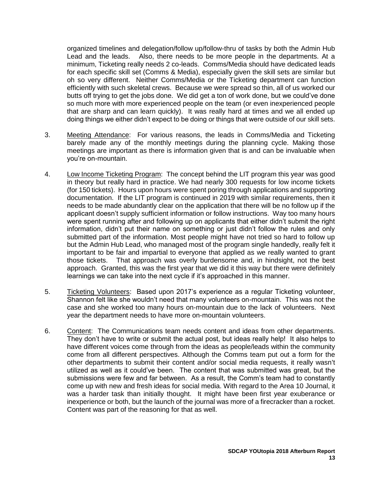organized timelines and delegation/follow up/follow-thru of tasks by both the Admin Hub Lead and the leads. Also, there needs to be more people in the departments. At a minimum, Ticketing really needs 2 co-leads. Comms/Media should have dedicated leads for each specific skill set (Comms & Media), especially given the skill sets are similar but oh so very different. Neither Comms/Media or the Ticketing department can function efficiently with such skeletal crews. Because we were spread so thin, all of us worked our butts off trying to get the jobs done. We did get a ton of work done, but we could've done so much more with more experienced people on the team (or even inexperienced people that are sharp and can learn quickly). It was really hard at times and we all ended up doing things we either didn't expect to be doing or things that were outside of our skill sets.

- 3. Meeting Attendance: For various reasons, the leads in Comms/Media and Ticketing barely made any of the monthly meetings during the planning cycle. Making those meetings are important as there is information given that is and can be invaluable when you're on-mountain.
- 4. Low Income Ticketing Program: The concept behind the LIT program this year was good in theory but really hard in practice. We had nearly 300 requests for low income tickets (for 150 tickets). Hours upon hours were spent poring through applications and supporting documentation. If the LIT program is continued in 2019 with similar requirements, then it needs to be made abundantly clear on the application that there will be no follow up if the applicant doesn't supply sufficient information or follow instructions. Way too many hours were spent running after and following up on applicants that either didn't submit the right information, didn't put their name on something or just didn't follow the rules and only submitted part of the information. Most people might have not tried so hard to follow up but the Admin Hub Lead, who managed most of the program single handedly, really felt it important to be fair and impartial to everyone that applied as we really wanted to grant those tickets. That approach was overly burdensome and, in hindsight, not the best approach. Granted, this was the first year that we did it this way but there were definitely learnings we can take into the next cycle if it's approached in this manner.
- 5. Ticketing Volunteers: Based upon 2017's experience as a regular Ticketing volunteer, Shannon felt like she wouldn't need that many volunteers on-mountain. This was not the case and she worked too many hours on-mountain due to the lack of volunteers. Next year the department needs to have more on-mountain volunteers.
- 6. Content: The Communications team needs content and ideas from other departments. They don't have to write or submit the actual post, but ideas really help! It also helps to have different voices come through from the ideas as people/leads within the community come from all different perspectives. Although the Comms team put out a form for the other departments to submit their content and/or social media requests, it really wasn't utilized as well as it could've been. The content that was submitted was great, but the submissions were few and far between. As a result, the Comm's team had to constantly come up with new and fresh ideas for social media. With regard to the Area 10 Journal, it was a harder task than initially thought. It might have been first year exuberance or inexperience or both, but the launch of the journal was more of a firecracker than a rocket. Content was part of the reasoning for that as well.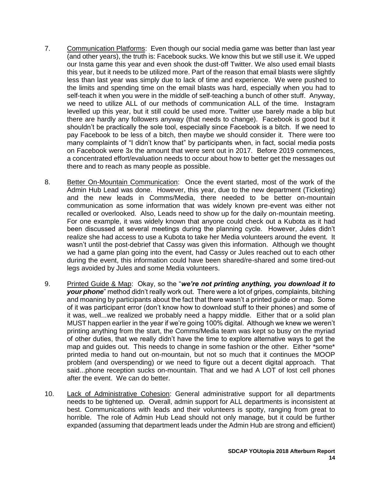- 7. Communication Platforms: Even though our social media game was better than last year (and other years), the truth is: Facebook sucks. We know this but we still use it. We upped our Insta game this year and even shook the dust-off Twitter. We also used email blasts this year, but it needs to be utilized more. Part of the reason that email blasts were slightly less than last year was simply due to lack of time and experience. We were pushed to the limits and spending time on the email blasts was hard, especially when you had to self-teach it when you were in the middle of self-teaching a bunch of other stuff. Anyway, we need to utilize ALL of our methods of communication ALL of the time. Instagram levelled up this year, but it still could be used more. Twitter use barely made a blip but there are hardly any followers anyway (that needs to change). Facebook is good but it shouldn't be practically the sole tool, especially since Facebook is a bitch. If we need to pay Facebook to be less of a bitch, then maybe we should consider it. There were too many complaints of "I didn't know that" by participants when, in fact, social media posts on Facebook were 3x the amount that were sent out in 2017. Before 2019 commences, a concentrated effort/evaluation needs to occur about how to better get the messages out there and to reach as many people as possible.
- 8. Better On-Mountain Communication: Once the event started, most of the work of the Admin Hub Lead was done. However, this year, due to the new department (Ticketing) and the new leads in Comms/Media, there needed to be better on-mountain communication as some information that was widely known pre-event was either not recalled or overlooked. Also, Leads need to show up for the daily on-mountain meeting. For one example, it was widely known that anyone could check out a Kubota as it had been discussed at several meetings during the planning cycle. However, Jules didn't realize she had access to use a Kubota to take her Media volunteers around the event. It wasn't until the post-debrief that Cassy was given this information. Although we thought we had a game plan going into the event, had Cassy or Jules reached out to each other during the event, this information could have been shared/re-shared and some tired-out legs avoided by Jules and some Media volunteers.
- 9. Printed Guide & Map: Okay, so the "*we're not printing anything, you download it to your phone*" method didn't really work out. There were a lot of gripes, complaints, bitching and moaning by participants about the fact that there wasn't a printed guide or map. Some of it was participant error (don't know how to download stuff to their phones) and some of it was, well...we realized we probably need a happy middle. Either that or a solid plan MUST happen earlier in the year if we're going 100% digital. Although we knew we weren't printing anything from the start, the Comms/Media team was kept so busy on the myriad of other duties, that we really didn't have the time to explore alternative ways to get the map and guides out. This needs to change in some fashion or the other. Either \*some\* printed media to hand out on-mountain, but not so much that it continues the MOOP problem (and overspending) or we need to figure out a decent digital approach. That said...phone reception sucks on-mountain. That and we had A LOT of lost cell phones after the event. We can do better.
- 10. Lack of Administrative Cohesion: General administrative support for all departments needs to be tightened up. Overall, admin support for ALL departments is inconsistent at best. Communications with leads and their volunteers is spotty, ranging from great to horrible. The role of Admin Hub Lead should not only manage, but it could be further expanded (assuming that department leads under the Admin Hub are strong and efficient)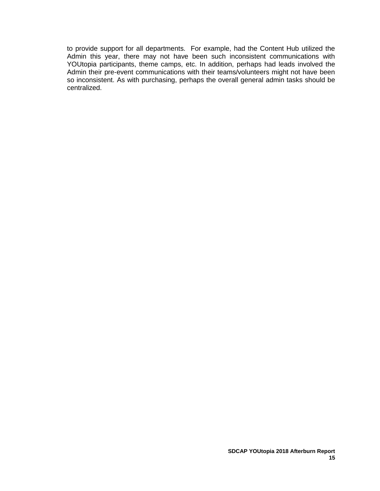to provide support for all departments. For example, had the Content Hub utilized the Admin this year, there may not have been such inconsistent communications with YOUtopia participants, theme camps, etc. In addition, perhaps had leads involved the Admin their pre-event communications with their teams/volunteers might not have been so inconsistent. As with purchasing, perhaps the overall general admin tasks should be centralized.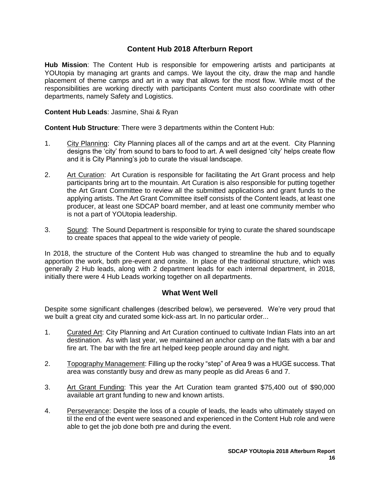## **Content Hub 2018 Afterburn Report**

<span id="page-17-0"></span>**Hub Mission**: The Content Hub is responsible for empowering artists and participants at YOUtopia by managing art grants and camps. We layout the city, draw the map and handle placement of theme camps and art in a way that allows for the most flow. While most of the responsibilities are working directly with participants Content must also coordinate with other departments, namely Safety and Logistics.

**Content Hub Leads**: Jasmine, Shai & Ryan

**Content Hub Structure**: There were 3 departments within the Content Hub:

- 1. City Planning: City Planning places all of the camps and art at the event. City Planning designs the 'city' from sound to bars to food to art. A well designed 'city' helps create flow and it is City Planning's job to curate the visual landscape.
- 2. Art Curation: Art Curation is responsible for facilitating the Art Grant process and help participants bring art to the mountain. Art Curation is also responsible for putting together the Art Grant Committee to review all the submitted applications and grant funds to the applying artists. The Art Grant Committee itself consists of the Content leads, at least one producer, at least one SDCAP board member, and at least one community member who is not a part of YOUtopia leadership.
- 3. Sound: The Sound Department is responsible for trying to curate the shared soundscape to create spaces that appeal to the wide variety of people.

In 2018, the structure of the Content Hub was changed to streamline the hub and to equally apportion the work, both pre-event and onsite. In place of the traditional structure, which was generally 2 Hub leads, along with 2 department leads for each internal department, in 2018, initially there were 4 Hub Leads working together on all departments.

## **What Went Well**

<span id="page-17-1"></span>Despite some significant challenges (described below), we persevered. We're very proud that we built a great city and curated some kick-ass art. In no particular order...

- 1. Curated Art: City Planning and Art Curation continued to cultivate Indian Flats into an art destination. As with last year, we maintained an anchor camp on the flats with a bar and fire art. The bar with the fire art helped keep people around day and night.
- 2. Topography Management: Filling up the rocky "step" of Area 9 was a HUGE success. That area was constantly busy and drew as many people as did Areas 6 and 7.
- 3. Art Grant Funding: This year the Art Curation team granted \$75,400 out of \$90,000 available art grant funding to new and known artists.
- 4. Perseverance: Despite the loss of a couple of leads, the leads who ultimately stayed on til the end of the event were seasoned and experienced in the Content Hub role and were able to get the job done both pre and during the event.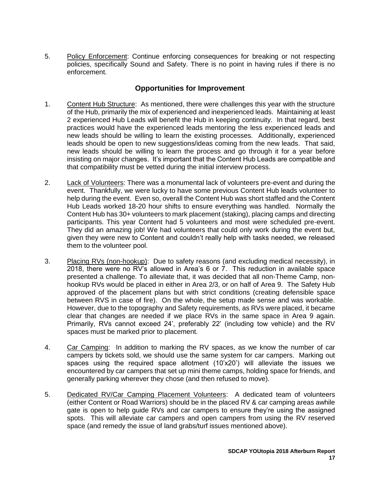5. Policy Enforcement: Continue enforcing consequences for breaking or not respecting policies, specifically Sound and Safety. There is no point in having rules if there is no enforcement.

- <span id="page-18-0"></span>1. Content Hub Structure: As mentioned, there were challenges this year with the structure of the Hub, primarily the mix of experienced and inexperienced leads. Maintaining at least 2 experienced Hub Leads will benefit the Hub in keeping continuity. In that regard, best practices would have the experienced leads mentoring the less experienced leads and new leads should be willing to learn the existing processes. Additionally, experienced leads should be open to new suggestions/ideas coming from the new leads. That said, new leads should be willing to learn the process and go through it for a year before insisting on major changes. It's important that the Content Hub Leads are compatible and that compatibility must be vetted during the initial interview process.
- 2. Lack of Volunteers: There was a monumental lack of volunteers pre-event and during the event. Thankfully, we were lucky to have some previous Content Hub leads volunteer to help during the event. Even so, overall the Content Hub was short staffed and the Content Hub Leads worked 18-20 hour shifts to ensure everything was handled. Normally the Content Hub has 30+ volunteers to mark placement (staking), placing camps and directing participants. This year Content had 5 volunteers and most were scheduled pre-event. They did an amazing job! We had volunteers that could only work during the event but, given they were new to Content and couldn't really help with tasks needed, we released them to the volunteer pool.
- 3. Placing RVs (non-hookup): Due to safety reasons (and excluding medical necessity), in 2018, there were no RV's allowed in Area's 6 or 7. This reduction in available space presented a challenge. To alleviate that, it was decided that all non-Theme Camp, nonhookup RVs would be placed in either in Area 2/3, or on half of Area 9. The Safety Hub approved of the placement plans but with strict conditions (creating defensible space between RVS in case of fire). On the whole, the setup made sense and was workable. However, due to the topography and Safety requirements, as RVs were placed, it became clear that changes are needed if we place RVs in the same space in Area 9 again. Primarily, RVs cannot exceed 24', preferably 22' (including tow vehicle) and the RV spaces must be marked prior to placement.
- 4. Car Camping: In addition to marking the RV spaces, as we know the number of car campers by tickets sold, we should use the same system for car campers. Marking out spaces using the required space allotment (10'x20') will alleviate the issues we encountered by car campers that set up mini theme camps, holding space for friends, and generally parking wherever they chose (and then refused to move).
- 5. Dedicated RV/Car Camping Placement Volunteers: A dedicated team of volunteers (either Content or Road Warriors) should be in the placed RV & car camping areas awhile gate is open to help guide RVs and car campers to ensure they're using the assigned spots. This will alleviate car campers and open campers from using the RV reserved space (and remedy the issue of land grabs/turf issues mentioned above).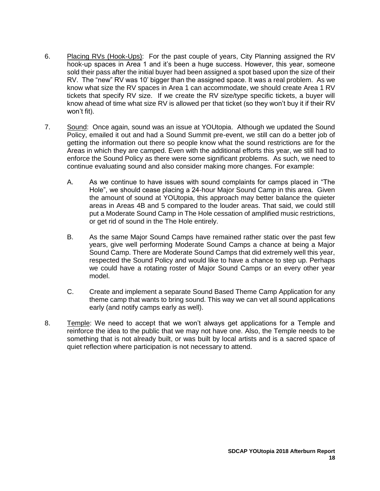- 6. Placing RVs (Hook-Ups): For the past couple of years, City Planning assigned the RV hook-up spaces in Area 1 and it's been a huge success. However, this year, someone sold their pass after the initial buyer had been assigned a spot based upon the size of their RV. The "new" RV was 10' bigger than the assigned space. It was a real problem. As we know what size the RV spaces in Area 1 can accommodate, we should create Area 1 RV tickets that specify RV size. If we create the RV size/type specific tickets, a buyer will know ahead of time what size RV is allowed per that ticket (so they won't buy it if their RV won't fit).
- 7. Sound: Once again, sound was an issue at YOUtopia. Although we updated the Sound Policy, emailed it out and had a Sound Summit pre-event, we still can do a better job of getting the information out there so people know what the sound restrictions are for the Areas in which they are camped. Even with the additional efforts this year, we still had to enforce the Sound Policy as there were some significant problems. As such, we need to continue evaluating sound and also consider making more changes. For example:
	- A. As we continue to have issues with sound complaints for camps placed in "The Hole", we should cease placing a 24-hour Major Sound Camp in this area. Given the amount of sound at YOUtopia, this approach may better balance the quieter areas in Areas 4B and 5 compared to the louder areas. That said, we could still put a Moderate Sound Camp in The Hole cessation of amplified music restrictions, or get rid of sound in the The Hole entirely.
	- B. As the same Major Sound Camps have remained rather static over the past few years, give well performing Moderate Sound Camps a chance at being a Major Sound Camp. There are Moderate Sound Camps that did extremely well this year, respected the Sound Policy and would like to have a chance to step up. Perhaps we could have a rotating roster of Major Sound Camps or an every other year model.
	- C. Create and implement a separate Sound Based Theme Camp Application for any theme camp that wants to bring sound. This way we can vet all sound applications early (and notify camps early as well).
- 8. Temple: We need to accept that we won't always get applications for a Temple and reinforce the idea to the public that we may not have one. Also, the Temple needs to be something that is not already built, or was built by local artists and is a sacred space of quiet reflection where participation is not necessary to attend.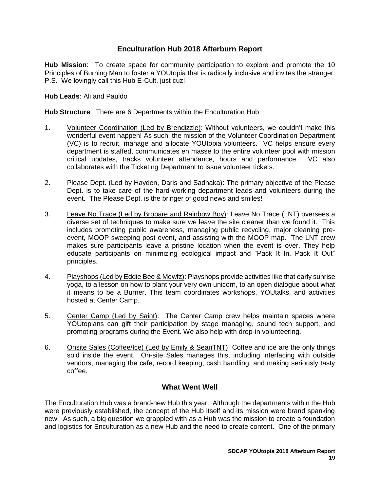# **Enculturation Hub 2018 Afterburn Report**

<span id="page-20-0"></span>**Hub Mission**: To create space for community participation to explore and promote the 10 Principles of Burning Man to foster a YOUtopia that is radically inclusive and invites the stranger. P.S. We lovingly call this Hub E-Cult, just cuz!

**Hub Leads**: Ali and Pauldo

**Hub Structure**: There are 6 Departments within the Enculturation Hub

- 1. Volunteer Coordination (Led by Brendizzle): Without volunteers, we couldn't make this wonderful event happen! As such, the mission of the Volunteer Coordination Department (VC) is to recruit, manage and allocate YOUtopia volunteers. VC helps ensure every department is staffed, communicates en masse to the entire volunteer pool with mission critical updates, tracks volunteer attendance, hours and performance. VC also collaborates with the Ticketing Department to issue volunteer tickets.
- 2. Please Dept. (Led by Hayden, Daris and Sadhaka): The primary objective of the Please Dept. is to take care of the hard-working department leads and volunteers during the event. The Please Dept. is the bringer of good news and smiles!
- 3. Leave No Trace (Led by Brobare and Rainbow Boy): Leave No Trace (LNT) oversees a diverse set of techniques to make sure we leave the site cleaner than we found it. This includes promoting public awareness, managing public recycling, major cleaning preevent, MOOP sweeping post event, and assisting with the MOOP map. The LNT crew makes sure participants leave a pristine location when the event is over. They help educate participants on minimizing ecological impact and "Pack It In, Pack It Out" principles.
- 4. Playshops (Led by Eddie Bee & Mewfz): Playshops provide activities like that early sunrise yoga, to a lesson on how to plant your very own unicorn, to an open dialogue about what it means to be a Burner. This team coordinates workshops, YOUtalks, and activities hosted at Center Camp.
- 5. Center Camp (Led by Saint): The Center Camp crew helps maintain spaces where YOUtopians can gift their participation by stage managing, sound tech support, and promoting programs during the Event. We also help with drop-in volunteering.
- 6. Onsite Sales (Coffee/Ice) (Led by Emily & SeanTNT): Coffee and ice are the only things sold inside the event. On-site Sales manages this, including interfacing with outside vendors, managing the cafe, record keeping, cash handling, and making seriously tasty coffee.

## **What Went Well**

<span id="page-20-1"></span>The Enculturation Hub was a brand-new Hub this year. Although the departments within the Hub were previously established, the concept of the Hub itself and its mission were brand spanking new. As such, a big question we grappled with as a Hub was the mission to create a foundation and logistics for Enculturation as a new Hub and the need to create content. One of the primary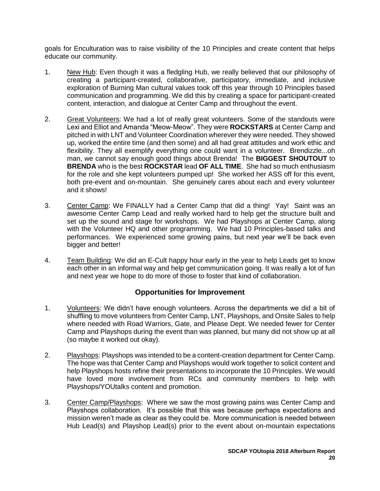goals for Enculturation was to raise visibility of the 10 Principles and create content that helps educate our community.

- 1. New Hub: Even though it was a fledgling Hub, we really believed that our philosophy of creating a participant-created, collaborative, participatory, immediate, and inclusive exploration of Burning Man cultural values took off this year through 10 Principles based communication and programming. We did this by creating a space for participant-created content, interaction, and dialogue at Center Camp and throughout the event.
- 2. Great Volunteers: We had a lot of really great volunteers. Some of the standouts were Lexi and Elliot and Amanda "Meow-Meow". They were **ROCKSTARS** at Center Camp and pitched in with LNT and Volunteer Coordination wherever they were needed. They showed up, worked the entire time (and then some) and all had great attitudes and work ethic and flexibility. They all exemplify everything one could want in a volunteer. Brendizzle...oh man, we cannot say enough good things about Brenda! The **BIGGEST SHOUTOUT** to **BRENDA** who is the best **ROCKSTAR** lead **OF ALL TIME**. She had so much enthusiasm for the role and she kept volunteers pumped up! She worked her ASS off for this event, both pre-event and on-mountain. She genuinely cares about each and every volunteer and it shows!
- 3. Center Camp: We FINALLY had a Center Camp that did a thing! Yay! Saint was an awesome Center Camp Lead and really worked hard to help get the structure built and set up the sound and stage for workshops. We had Playshops at Center Camp, along with the Volunteer HQ and other programming. We had 10 Principles-based talks and performances. We experienced some growing pains, but next year we'll be back even bigger and better!
- 4. Team Building: We did an E-Cult happy hour early in the year to help Leads get to know each other in an informal way and help get communication going. It was really a lot of fun and next year we hope to do more of those to foster that kind of collaboration.

- <span id="page-21-0"></span>1. Volunteers: We didn't have enough volunteers. Across the departments we did a bit of shuffling to move volunteers from Center Camp, LNT, Playshops, and Onsite Sales to help where needed with Road Warriors, Gate, and Please Dept. We needed fewer for Center Camp and Playshops during the event than was planned, but many did not show up at all (so maybe it worked out okay).
- 2. Playshops: Playshops was intended to be a content-creation department for Center Camp. The hope was that Center Camp and Playshops would work together to solicit content and help Playshops hosts refine their presentations to incorporate the 10 Principles. We would have loved more involvement from RCs and community members to help with Playshops/YOUtalks content and promotion.
- 3. Center Camp/Playshops: Where we saw the most growing pains was Center Camp and Playshops collaboration. It's possible that this was because perhaps expectations and mission weren't made as clear as they could be. More communication is needed between Hub Lead(s) and Playshop Lead(s) prior to the event about on-mountain expectations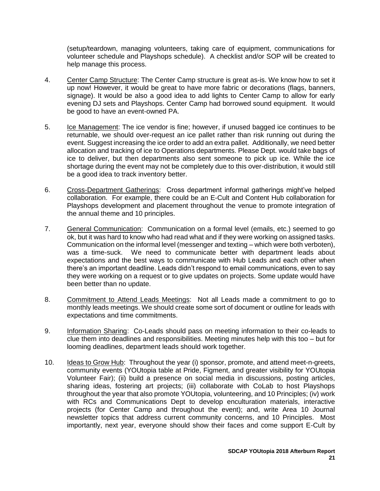(setup/teardown, managing volunteers, taking care of equipment, communications for volunteer schedule and Playshops schedule). A checklist and/or SOP will be created to help manage this process.

- 4. Center Camp Structure: The Center Camp structure is great as-is. We know how to set it up now! However, it would be great to have more fabric or decorations (flags, banners, signage). It would be also a good idea to add lights to Center Camp to allow for early evening DJ sets and Playshops. Center Camp had borrowed sound equipment. It would be good to have an event-owned PA.
- 5. Ice Management: The ice vendor is fine; however, if unused bagged ice continues to be returnable, we should over-request an ice pallet rather than risk running out during the event. Suggest increasing the ice order to add an extra pallet. Additionally, we need better allocation and tracking of ice to Operations departments. Please Dept. would take bags of ice to deliver, but then departments also sent someone to pick up ice. While the ice shortage during the event may not be completely due to this over-distribution, it would still be a good idea to track inventory better.
- 6. Cross-Department Gatherings: Cross department informal gatherings might've helped collaboration. For example, there could be an E-Cult and Content Hub collaboration for Playshops development and placement throughout the venue to promote integration of the annual theme and 10 principles.
- 7. General Communication: Communication on a formal level (emails, etc.) seemed to go ok, but it was hard to know who had read what and if they were working on assigned tasks. Communication on the informal level (messenger and texting – which were both verboten), was a time-suck. We need to communicate better with department leads about expectations and the best ways to communicate with Hub Leads and each other when there's an important deadline. Leads didn't respond to email communications, even to say they were working on a request or to give updates on projects. Some update would have been better than no update.
- 8. Commitment to Attend Leads Meetings: Not all Leads made a commitment to go to monthly leads meetings. We should create some sort of document or outline for leads with expectations and time commitments.
- 9. Information Sharing: Co-Leads should pass on meeting information to their co-leads to clue them into deadlines and responsibilities. Meeting minutes help with this too – but for looming deadlines, department leads should work together.
- 10. Ideas to Grow Hub: Throughout the year (i) sponsor, promote, and attend meet-n-greets, community events (YOUtopia table at Pride, Figment, and greater visibility for YOUtopia Volunteer Fair); (ii) build a presence on social media in discussions, posting articles, sharing ideas, fostering art projects; (iii) collaborate with CoLab to host Playshops throughout the year that also promote YOUtopia, volunteering, and 10 Principles; (iv) work with RCs and Communications Dept to develop enculturation materials, interactive projects (for Center Camp and throughout the event); and, write Area 10 Journal newsletter topics that address current community concerns, and 10 Principles. Most importantly, next year, everyone should show their faces and come support E-Cult by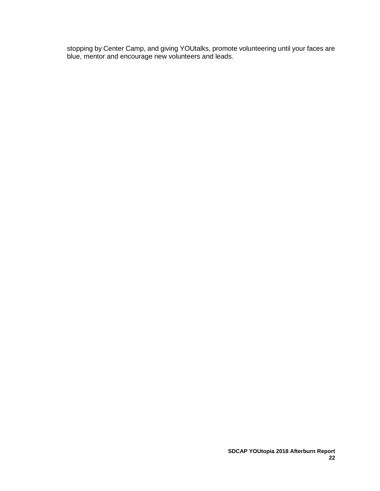stopping by Center Camp, and giving YOUtalks, promote volunteering until your faces are blue, mentor and encourage new volunteers and leads.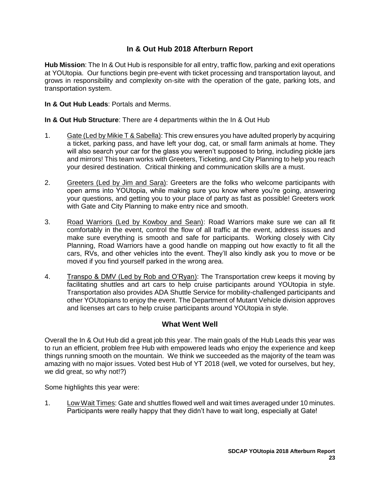# **In & Out Hub 2018 Afterburn Report**

<span id="page-24-0"></span>**Hub Mission**: The In & Out Hub is responsible for all entry, traffic flow, parking and exit operations at YOUtopia. Our functions begin pre-event with ticket processing and transportation layout, and grows in responsibility and complexity on-site with the operation of the gate, parking lots, and transportation system.

**In & Out Hub Leads**: Portals and Merms.

**In & Out Hub Structure**: There are 4 departments within the In & Out Hub

- 1. Gate (Led by Mikie T & Sabella): This crew ensures you have adulted properly by acquiring a ticket, parking pass, and have left your dog, cat, or small farm animals at home. They will also search your car for the glass you weren't supposed to bring, including pickle jars and mirrors! This team works with Greeters, Ticketing, and City Planning to help you reach your desired destination. Critical thinking and communication skills are a must.
- 2. Greeters (Led by Jim and Sara): Greeters are the folks who welcome participants with open arms into YOUtopia, while making sure you know where you're going, answering your questions, and getting you to your place of party as fast as possible! Greeters work with Gate and City Planning to make entry nice and smooth.
- 3. Road Warriors (Led by Kowboy and Sean): Road Warriors make sure we can all fit comfortably in the event, control the flow of all traffic at the event, address issues and make sure everything is smooth and safe for participants. Working closely with City Planning, Road Warriors have a good handle on mapping out how exactly to fit all the cars, RVs, and other vehicles into the event. They'll also kindly ask you to move or be moved if you find yourself parked in the wrong area.
- 4. Transpo & DMV (Led by Rob and O'Ryan): The Transportation crew keeps it moving by facilitating shuttles and art cars to help cruise participants around YOUtopia in style. Transportation also provides ADA Shuttle Service for mobility-challenged participants and other YOUtopians to enjoy the event. The Department of Mutant Vehicle division approves and licenses art cars to help cruise participants around YOUtopia in style.

## **What Went Well**

<span id="page-24-1"></span>Overall the In & Out Hub did a great job this year. The main goals of the Hub Leads this year was to run an efficient, problem free Hub with empowered leads who enjoy the experience and keep things running smooth on the mountain. We think we succeeded as the majority of the team was amazing with no major issues. Voted best Hub of YT 2018 (well, we voted for ourselves, but hey, we did great, so why not!?)

Some highlights this year were:

1. Low Wait Times: Gate and shuttles flowed well and wait times averaged under 10 minutes. Participants were really happy that they didn't have to wait long, especially at Gate!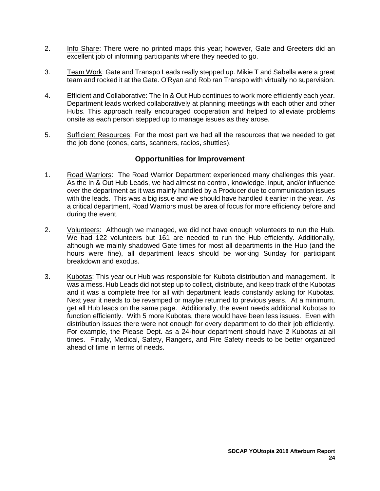- 2. Info Share: There were no printed maps this year; however, Gate and Greeters did an excellent job of informing participants where they needed to go.
- 3. Team Work: Gate and Transpo Leads really stepped up. Mikie T and Sabella were a great team and rocked it at the Gate. O'Ryan and Rob ran Transpo with virtually no supervision.
- 4. Efficient and Collaborative: The In & Out Hub continues to work more efficiently each year. Department leads worked collaboratively at planning meetings with each other and other Hubs. This approach really encouraged cooperation and helped to alleviate problems onsite as each person stepped up to manage issues as they arose.
- 5. Sufficient Resources: For the most part we had all the resources that we needed to get the job done (cones, carts, scanners, radios, shuttles).

- <span id="page-25-0"></span>1. Road Warriors: The Road Warrior Department experienced many challenges this year. As the In & Out Hub Leads, we had almost no control, knowledge, input, and/or influence over the department as it was mainly handled by a Producer due to communication issues with the leads. This was a big issue and we should have handled it earlier in the year. As a critical department, Road Warriors must be area of focus for more efficiency before and during the event.
- 2. Volunteers: Although we managed, we did not have enough volunteers to run the Hub. We had 122 volunteers but 161 are needed to run the Hub efficiently. Additionally, although we mainly shadowed Gate times for most all departments in the Hub (and the hours were fine), all department leads should be working Sunday for participant breakdown and exodus.
- 3. Kubotas: This year our Hub was responsible for Kubota distribution and management. It was a mess. Hub Leads did not step up to collect, distribute, and keep track of the Kubotas and it was a complete free for all with department leads constantly asking for Kubotas. Next year it needs to be revamped or maybe returned to previous years. At a minimum, get all Hub leads on the same page. Additionally, the event needs additional Kubotas to function efficiently. With 5 more Kubotas, there would have been less issues. Even with distribution issues there were not enough for every department to do their job efficiently. For example, the Please Dept. as a 24-hour department should have 2 Kubotas at all times. Finally, Medical, Safety, Rangers, and Fire Safety needs to be better organized ahead of time in terms of needs.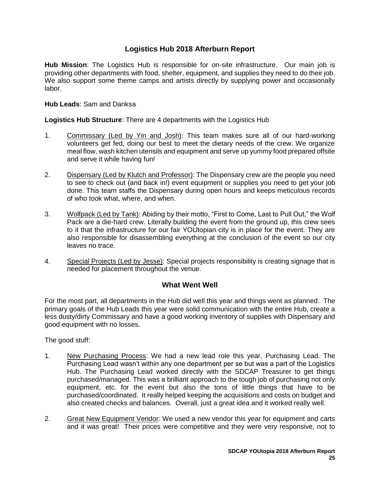# **Logistics Hub 2018 Afterburn Report**

<span id="page-26-0"></span>**Hub Mission**: The Logistics Hub is responsible for on-site infrastructure. Our main job is providing other departments with food, shelter, equipment, and supplies they need to do their job. We also support some theme camps and artists directly by supplying power and occasionally labor.

**Hub Leads**: Sam and Danksa

**Logistics Hub Structure**: There are 4 departments with the Logistics Hub

- 1. Commissary (Led by Yin and Josh): This team makes sure all of our hard-working volunteers get fed, doing our best to meet the dietary needs of the crew. We organize meal flow, wash kitchen utensils and equipment and serve up yummy food prepared offsite and serve it while having fun!
- 2. Dispensary (Led by Klutch and Professor): The Dispensary crew are the people you need to see to check out (and back in!) event equipment or supplies you need to get your job done. This team staffs the Dispensary during open hours and keeps meticulous records of who took what, where, and when.
- 3. Wolfpack (Led by Tank): Abiding by their motto, "First to Come, Last to Pull Out," the Wolf Pack are a die-hard crew. Literally building the event from the ground up, this crew sees to it that the infrastructure for our fair YOUtopian city is in place for the event. They are also responsible for disassembling everything at the conclusion of the event so our city leaves no trace.
- 4. Special Projects (Led by Jesse): Special projects responsibility is creating signage that is needed for placement throughout the venue.

#### **What Went Well**

<span id="page-26-1"></span>For the most part, all departments in the Hub did well this year and things went as planned. The primary goals of the Hub Leads this year were solid communication with the entire Hub, create a less dusty/dirty Commissary and have a good working inventory of supplies with Dispensary and good equipment with no losses.

The good stuff:

- 1. New Purchasing Process: We had a new lead role this year, Purchasing Lead. The Purchasing Lead wasn't within any one department per se but was a part of the Logistics Hub. The Purchasing Lead worked directly with the SDCAP Treasurer to get things purchased/managed. This was a brilliant approach to the tough job of purchasing not only equipment, etc. for the event but also the tons of little things that have to be purchased/coordinated. It really helped keeping the acquisitions and costs on budget and also created checks and balances. Overall, just a great idea and it worked really well.
- 2. Great New Equipment Vendor: We used a new vendor this year for equipment and carts and it was great! Their prices were competitive and they were very responsive, not to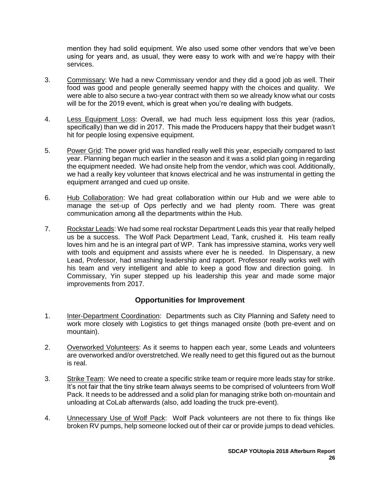mention they had solid equipment. We also used some other vendors that we've been using for years and, as usual, they were easy to work with and we're happy with their services.

- 3. Commissary: We had a new Commissary vendor and they did a good job as well. Their food was good and people generally seemed happy with the choices and quality. We were able to also secure a two-year contract with them so we already know what our costs will be for the 2019 event, which is great when you're dealing with budgets.
- 4. Less Equipment Loss: Overall, we had much less equipment loss this year (radios, specifically) than we did in 2017. This made the Producers happy that their budget wasn't hit for people losing expensive equipment.
- 5. Power Grid: The power grid was handled really well this year, especially compared to last year. Planning began much earlier in the season and it was a solid plan going in regarding the equipment needed. We had onsite help from the vendor, which was cool. Additionally, we had a really key volunteer that knows electrical and he was instrumental in getting the equipment arranged and cued up onsite.
- 6. Hub Collaboration: We had great collaboration within our Hub and we were able to manage the set-up of Ops perfectly and we had plenty room. There was great communication among all the departments within the Hub.
- 7. Rockstar Leads: We had some real rockstar Department Leads this year that really helped us be a success. The Wolf Pack Department Lead, Tank, crushed it. His team really loves him and he is an integral part of WP. Tank has impressive stamina, works very well with tools and equipment and assists where ever he is needed. In Dispensary, a new Lead, Professor, had smashing leadership and rapport. Professor really works well with his team and very intelligent and able to keep a good flow and direction going. In Commissary, Yin super stepped up his leadership this year and made some major improvements from 2017.

- <span id="page-27-0"></span>1. Inter-Department Coordination: Departments such as City Planning and Safety need to work more closely with Logistics to get things managed onsite (both pre-event and on mountain).
- 2. Overworked Volunteers: As it seems to happen each year, some Leads and volunteers are overworked and/or overstretched. We really need to get this figured out as the burnout is real.
- 3. Strike Team: We need to create a specific strike team or require more leads stay for strike. It's not fair that the tiny strike team always seems to be comprised of volunteers from Wolf Pack. It needs to be addressed and a solid plan for managing strike both on-mountain and unloading at CoLab afterwards (also, add loading the truck pre-event).
- 4. **Unnecessary Use of Wolf Pack:** Wolf Pack volunteers are not there to fix things like broken RV pumps, help someone locked out of their car or provide jumps to dead vehicles.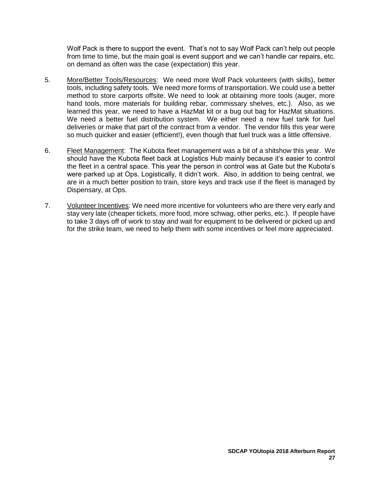Wolf Pack is there to support the event. That's not to say Wolf Pack can't help out people from time to time, but the main goal is event support and we can't handle car repairs, etc. on demand as often was the case (expectation) this year.

- 5. More/Better Tools/Resources: We need more Wolf Pack volunteers (with skills), better tools, including safety tools. We need more forms of transportation. We could use a better method to store carports offsite. We need to look at obtaining more tools (auger, more hand tools, more materials for building rebar, commissary shelves, etc.). Also, as we learned this year, we need to have a HazMat kit or a bug out bag for HazMat situations. We need a better fuel distribution system. We either need a new fuel tank for fuel deliveries or make that part of the contract from a vendor. The vendor fills this year were so much quicker and easier (efficient!), even though that fuel truck was a little offensive.
- 6. Fleet Management: The Kubota fleet management was a bit of a shitshow this year. We should have the Kubota fleet back at Logistics Hub mainly because it's easier to control the fleet in a central space. This year the person in control was at Gate but the Kubota's were parked up at Ops. Logistically, it didn't work. Also, in addition to being central, we are in a much better position to train, store keys and track use if the fleet is managed by Dispensary, at Ops.
- 7. Volunteer Incentives: We need more incentive for volunteers who are there very early and stay very late (cheaper tickets, more food, more schwag, other perks, etc.). If people have to take 3 days off of work to stay and wait for equipment to be delivered or picked up and for the strike team, we need to help them with some incentives or feel more appreciated.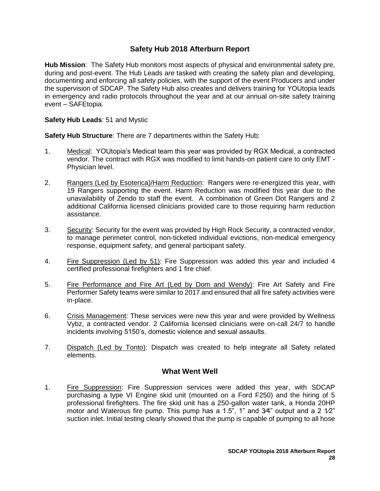# **Safety Hub 2018 Afterburn Report**

<span id="page-29-0"></span>**Hub Mission**: The Safety Hub monitors most aspects of physical and environmental safety pre, during and post-event. The Hub Leads are tasked with creating the safety plan and developing, documenting and enforcing all safety policies, with the support of the event Producers and under the supervision of SDCAP. The Safety Hub also creates and delivers training for YOUtopia leads in emergency and radio protocols throughout the year and at our annual on-site safety training event – SAFEtopia.

#### **Safety Hub Leads**: 51 and Mystic

**Safety Hub Structure**: There are 7 departments within the Safety Hub:

- 1. Medical: YOUtopia's Medical team this year was provided by RGX Medical, a contracted vendor. The contract with RGX was modified to limit hands-on patient care to only EMT - Physician level.
- 2. Rangers (Led by Esoterica)/Harm Reduction: Rangers were re-energized this year, with 19 Rangers supporting the event. Harm Reduction was modified this year due to the unavailability of Zendo to staff the event. A combination of Green Dot Rangers and 2 additional California licensed clinicians provided care to those requiring harm reduction assistance.
- 3. Security: Security for the event was provided by High Rock Security, a contracted vendor, to manage perimeter control, non-ticketed individual evictions, non-medical emergency response, equipment safety, and general participant safety.
- 4. Fire Suppression (Led by 51): Fire Suppression was added this year and included 4 certified professional firefighters and 1 fire chief.
- 5. Fire Performance and Fire Art (Led by Dom and Wendy): Fire Art Safety and Fire Performer Safety teams were similar to 2017 and ensured that all fire safety activities were in-place.
- 6. Crisis Management: These services were new this year and were provided by Wellness Vybz, a contracted vendor. 2 California licensed clinicians were on-call 24/7 to handle incidents involving 5150's, domestic violence and sexual assaults.
- 7. Dispatch (Led by Tonto): Dispatch was created to help integrate all Safety related elements.

#### **What Went Well**

<span id="page-29-1"></span>1. Fire Suppression: Fire Suppression services were added this year, with SDCAP purchasing a type VI Engine skid unit (mounted on a Ford F250) and the hiring of 5 professional firefighters. The fire skid unit has a 250-gallon water tank, a Honda 20HP motor and Waterous fire pump. This pump has a 1.5<sup>"</sup>, 1<sup>"</sup> and 3<sup> $4$ "</sup> output and a 2  $1/2$ " suction inlet. Initial testing clearly showed that the pump is capable of pumping to all hose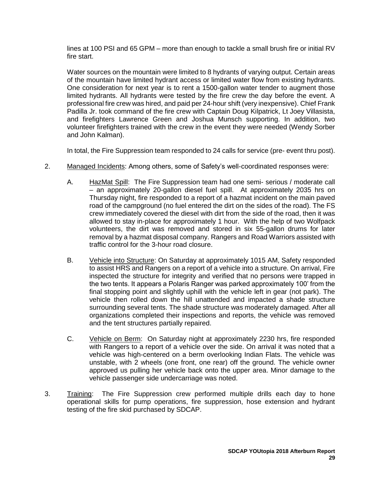lines at 100 PSI and 65 GPM – more than enough to tackle a small brush fire or initial RV fire start.

Water sources on the mountain were limited to 8 hydrants of varying output. Certain areas of the mountain have limited hydrant access or limited water flow from existing hydrants. One consideration for next year is to rent a 1500-gallon water tender to augment those limited hydrants. All hydrants were tested by the fire crew the day before the event. A professional fire crew was hired, and paid per 24-hour shift (very inexpensive). Chief Frank Padilla Jr. took command of the fire crew with Captain Doug Kilpatrick, Lt Joey Villasista, and firefighters Lawrence Green and Joshua Munsch supporting. In addition, two volunteer firefighters trained with the crew in the event they were needed (Wendy Sorber and John Kalman).

In total, the Fire Suppression team responded to 24 calls for service (pre- event thru post).

- 2. Managed Incidents: Among others, some of Safety's well-coordinated responses were:
	- A. HazMat Spill: The Fire Suppression team had one semi- serious / moderate call – an approximately 20-gallon diesel fuel spill. At approximately 2035 hrs on Thursday night, fire responded to a report of a hazmat incident on the main paved road of the campground (no fuel entered the dirt on the sides of the road). The FS crew immediately covered the diesel with dirt from the side of the road, then it was allowed to stay in-place for approximately 1 hour. With the help of two Wolfpack volunteers, the dirt was removed and stored in six 55-gallon drums for later removal by a hazmat disposal company. Rangers and Road Warriors assisted with traffic control for the 3-hour road closure.
	- B. Vehicle into Structure: On Saturday at approximately 1015 AM, Safety responded to assist HRS and Rangers on a report of a vehicle into a structure. On arrival, Fire inspected the structure for integrity and verified that no persons were trapped in the two tents. It appears a Polaris Ranger was parked approximately 100' from the final stopping point and slightly uphill with the vehicle left in gear (not park). The vehicle then rolled down the hill unattended and impacted a shade structure surrounding several tents. The shade structure was moderately damaged. After all organizations completed their inspections and reports, the vehicle was removed and the tent structures partially repaired.
	- C. Vehicle on Berm: On Saturday night at approximately 2230 hrs, fire responded with Rangers to a report of a vehicle over the side. On arrival it was noted that a vehicle was high-centered on a berm overlooking Indian Flats. The vehicle was unstable, with 2 wheels (one front, one rear) off the ground. The vehicle owner approved us pulling her vehicle back onto the upper area. Minor damage to the vehicle passenger side undercarriage was noted.
- 3. Training: The Fire Suppression crew performed multiple drills each day to hone operational skills for pump operations, fire suppression, hose extension and hydrant testing of the fire skid purchased by SDCAP.